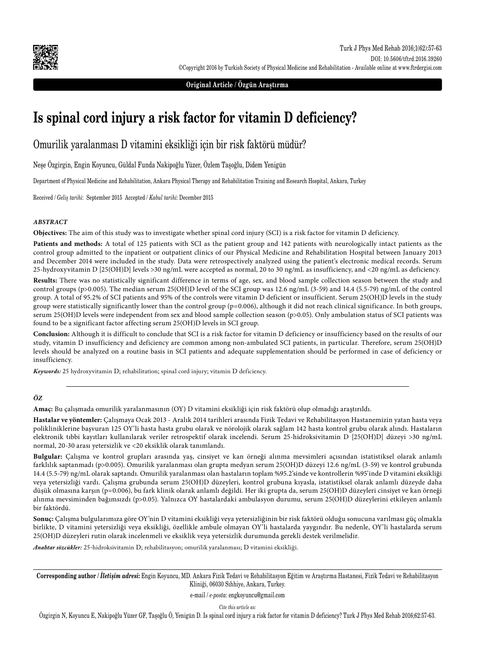

**Original Article / Özgün Araştırma**

# **Is spinal cord injury a risk factor for vitamin D deficiency?**

Omurilik yaralanması D vitamini eksikliği için bir risk faktörü müdür?

Neşe Özgirgin, Engin Koyuncu, Güldal Funda Nakipoğlu Yüzer, Özlem Taşoğlu, Didem Yenigün

Department of Physical Medicine and Rehabilitation, Ankara Physical Therapy and Rehabilitation Training and Research Hospital, Ankara, Turkey

Received / *Geliş tarihi*: September 2015 Accepted / *Kabul tarihi*: December 2015

### *ABSTRACT*

**Objectives:** The aim of this study was to investigate whether spinal cord injury (SCI) is a risk factor for vitamin D deficiency.

**Patients and methods:** A total of 125 patients with SCI as the patient group and 142 patients with neurologically intact patients as the control group admitted to the inpatient or outpatient clinics of our Physical Medicine and Rehabilitation Hospital between January 2013 and December 2014 were included in the study. Data were retrospectively analyzed using the patient's electronic medical records. Serum 25-hydroxyvitamin D [25(OH)D] levels >30 ng/mL were accepted as normal, 20 to 30 ng/mL as insufficiency, and <20 ng/mL as deficiency.

**Results:** There was no statistically significant difference in terms of age, sex, and blood sample collection season between the study and control groups (p>0.005). The median serum 25(OH)D level of the SCI group was 12.6 ng/mL (3-59) and 14.4 (5.5-79) ng/mL of the control group. A total of 95.2% of SCI patients and 95% of the controls were vitamin D deficient or insufficient. Serum 25(OH)D levels in the study group were statistically significantly lower than the control group (p=0.006), although it did not reach clinical significance. In both groups, serum 25(OH)D levels were independent from sex and blood sample collection season (p>0.05). Only ambulation status of SCI patients was found to be a significant factor affecting serum 25(OH)D levels in SCI group.

**Conclusion:** Although it is difficult to conclude that SCI is a risk factor for vitamin D deficiency or insufficiency based on the results of our study, vitamin D insufficiency and deficiency are common among non-ambulated SCI patients, in particular. Therefore, serum 25(OH)D levels should be analyzed on a routine basis in SCI patients and adequate supplementation should be performed in case of deficiency or insufficiency.

*Keywords:* 25 hydroxyvitamin D; rehabilitation; spinal cord injury; vitamin D deficiency.

#### *ÖZ*

**Amaç:** Bu çalışmada omurilik yaralanmasının (OY) D vitamini eksikliği için risk faktörü olup olmadığı araştırıldı.

**Hastalar ve yöntemler:** Çalışmaya Ocak 2013 - Aralık 2014 tarihleri arasında Fizik Tedavi ve Rehabilitasyon Hastanemizin yatan hasta veya polikliniklerine başvuran 125 OY'li hasta hasta grubu olarak ve nörolojik olarak sağlam 142 hasta kontrol grubu olarak alındı. Hastaların elektronik tıbbi kayıtları kullanılarak veriler retrospektif olarak incelendi. Serum 25-hidroksivitamin D [25(OH)D] düzeyi >30 ng/mL normal, 20-30 arası yetersizlik ve <20 eksiklik olarak tanımlandı.

**Bulgular:** Çalışma ve kontrol grupları arasında yaş, cinsiyet ve kan örneği alınma mevsimleri açısından istatistiksel olarak anlamlı farklılık saptanmadı (p>0.005). Omurilik yaralanması olan grupta medyan serum 25(OH)D düzeyi 12.6 ng/mL (3-59) ve kontrol grubunda 14.4 (5.5-79) ng/mL olarak saptandı. Omurilik yaralanması olan hastaların toplam %95.2'sinde ve kontrollerin %95'inde D vitamini eksikliği veya yetersizliği vardı. Çalışma grubunda serum 25(OH)D düzeyleri, kontrol grubuna kıyasla, istatistiksel olarak anlamlı düzeyde daha düşük olmasına karşın (p=0.006), bu fark klinik olarak anlamlı değildi. Her iki grupta da, serum 25(OH)D düzeyleri cinsiyet ve kan örneği alınma mevsiminden bağımsızdı (p>0.05). Yalnızca OY hastalardaki ambulasyon durumu, serum 25(OH)D düzeylerini etkileyen anlamlı bir faktördü.

**Sonuç:** Çalışma bulgularımıza göre OY'nin D vitamini eksikliği veya yetersizliğinin bir risk faktörü olduğu sonucuna varılması güç olmakla birlikte, D vitamini yetersizliği veya eksikliği, özellikle ambule olmayan OY'li hastalarda yaygındır. Bu nedenle, OY'li hastalarda serum 25(OH)D düzeyleri rutin olarak incelenmeli ve eksiklik veya yetersizlik durumunda gerekli destek verilmelidir.

*Anahtar sözcükler:* 25-hidroksivitamin D; rehabilitasyon; omurilik yaralanması; D vitamini eksikliği.

**Corresponding author /** *İletişim adresi***:** Engin Koyuncu, MD. Ankara Fizik Tedavi ve Rehabilitasyon Eğitim ve Araştırma Hastanesi, Fizik Tedavi ve Rehabilitasyon Kliniği, 06030 Sıhhiye, Ankara, Turkey.

e-mail / *e-posta*: engkoyuncu@gmail.com

*Cite this article as:*

Özgirgin N, Koyuncu E, Nakipoğlu Yüzer GF, Taşoğlu Ö, Yenigün D. Is spinal cord injury a risk factor for vitamin D deficiency? Turk J Phys Med Rehab 2016;62:57-63.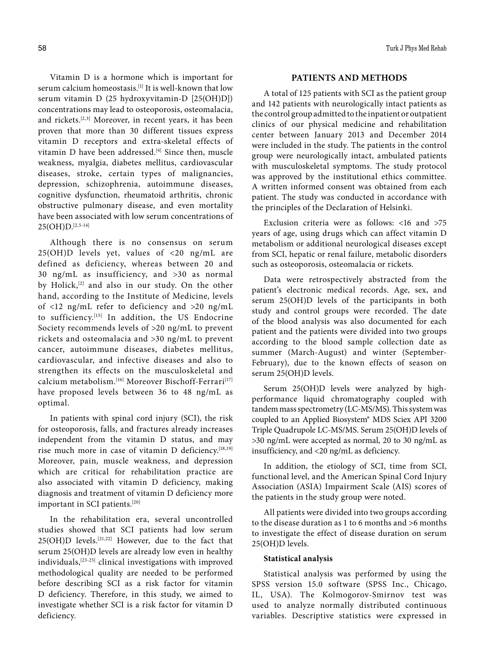Vitamin D is a hormone which is important for serum calcium homeostasis.[1] It is well-known that low serum vitamin D (25 hydroxyvitamin-D [25(OH)D]) concentrations may lead to osteoporosis, osteomalacia, and rickets.[2,3] Moreover, in recent years, it has been proven that more than 30 different tissues express vitamin D receptors and extra-skeletal effects of vitamin D have been addressed.<sup>[4]</sup> Since then, muscle weakness, myalgia, diabetes mellitus, cardiovascular diseases, stroke, certain types of malignancies, depression, schizophrenia, autoimmune diseases, cognitive dysfunction, rheumatoid arthritis, chronic obstructive pulmonary disease, and even mortality have been associated with low serum concentrations of  $25(OH)D.$ [2,5-14]

Although there is no consensus on serum 25(OH)D levels yet, values of <20 ng/mL are defined as deficiency, whereas between 20 and 30 ng/mL as insufficiency, and >30 as normal by Holick,<sup>[2]</sup> and also in our study. On the other hand, according to the Institute of Medicine, levels of <12 ng/mL refer to deficiency and >20 ng/mL to sufficiency.[15] In addition, the US Endocrine Society recommends levels of >20 ng/mL to prevent rickets and osteomalacia and >30 ng/mL to prevent cancer, autoimmune diseases, diabetes mellitus, cardiovascular, and infective diseases and also to strengthen its effects on the musculoskeletal and calcium metabolism.<sup>[16]</sup> Moreover Bischoff-Ferrari<sup>[17]</sup> have proposed levels between 36 to 48 ng/mL as optimal.

In patients with spinal cord injury (SCI), the risk for osteoporosis, falls, and fractures already increases independent from the vitamin D status, and may rise much more in case of vitamin D deficiency.<sup>[18,19]</sup> Moreover, pain, muscle weakness, and depression which are critical for rehabilitation practice are also associated with vitamin D deficiency, making diagnosis and treatment of vitamin D deficiency more important in SCI patients.[20]

In the rehabilitation era, several uncontrolled studies showed that SCI patients had low serum  $25(OH)D$  levels.<sup>[21,22]</sup> However, due to the fact that serum 25(OH)D levels are already low even in healthy individuals,[23-25] clinical investigations with improved methodological quality are needed to be performed before describing SCI as a risk factor for vitamin D deficiency. Therefore, in this study, we aimed to investigate whether SCI is a risk factor for vitamin D deficiency.

#### 58 Turk J Phys Med Rehab

### **PATIENTS AND METHODS**

A total of 125 patients with SCI as the patient group and 142 patients with neurologically intact patients as the control group admitted to the inpatient or outpatient clinics of our physical medicine and rehabilitation center between January 2013 and December 2014 were included in the study. The patients in the control group were neurologically intact, ambulated patients with musculoskeletal symptoms. The study protocol was approved by the institutional ethics committee. A written informed consent was obtained from each patient. The study was conducted in accordance with the principles of the Declaration of Helsinki.

Exclusion criteria were as follows: <16 and >75 years of age, using drugs which can affect vitamin D metabolism or additional neurological diseases except from SCI, hepatic or renal failure, metabolic disorders such as osteoporosis, osteomalacia or rickets.

Data were retrospectively abstracted from the patient's electronic medical records. Age, sex, and serum 25(OH)D levels of the participants in both study and control groups were recorded. The date of the blood analysis was also documented for each patient and the patients were divided into two groups according to the blood sample collection date as summer (March-August) and winter (September-February), due to the known effects of season on serum 25(OH)D levels.

Serum 25(OH)D levels were analyzed by highperformance liquid chromatography coupled with tandem mass spectrometry (LC-MS/MS). This system was coupled to an Applied Biosystem® MDS Sciex API 3200 Triple Quadrupole LC-MS/MS. Serum 25(OH)D levels of >30 ng/mL were accepted as normal, 20 to 30 ng/mL as insufficiency, and <20 ng/mL as deficiency.

In addition, the etiology of SCI, time from SCI, functional level, and the American Spinal Cord Injury Association (ASIA) Impairment Scale (AIS) scores of the patients in the study group were noted.

All patients were divided into two groups according to the disease duration as 1 to 6 months and >6 months to investigate the effect of disease duration on serum 25(OH)D levels.

#### **Statistical analysis**

Statistical analysis was performed by using the SPSS version 15.0 software (SPSS Inc., Chicago, IL, USA). The Kolmogorov-Smirnov test was used to analyze normally distributed continuous variables. Descriptive statistics were expressed in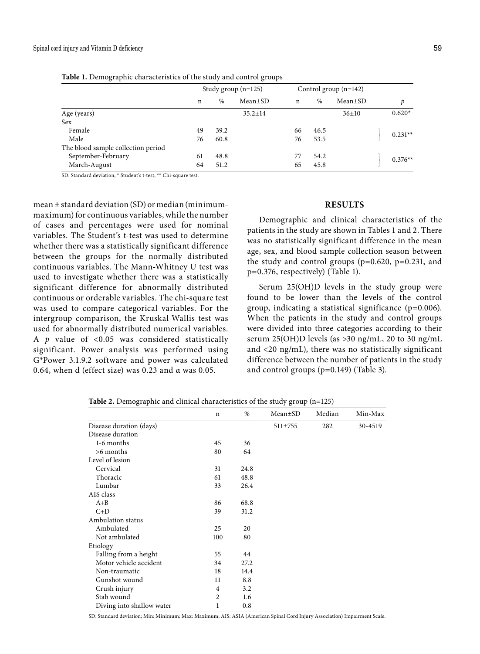| $\frac{1}{2}$ and $\frac{1}{2}$ and $\frac{1}{2}$ and $\frac{1}{2}$ are $\frac{1}{2}$ and $\frac{1}{2}$ and $\frac{1}{2}$ and $\frac{1}{2}$ and $\frac{1}{2}$ |                       |      |               |                         |      |               |           |
|---------------------------------------------------------------------------------------------------------------------------------------------------------------|-----------------------|------|---------------|-------------------------|------|---------------|-----------|
|                                                                                                                                                               | Study group $(n=125)$ |      |               | Control group $(n=142)$ |      |               |           |
|                                                                                                                                                               | n                     | $\%$ | Mean±SD       | n                       | $\%$ | $Mean \pm SD$ | D         |
| Age (years)                                                                                                                                                   |                       |      | $35.2 \pm 14$ |                         |      | 36±10         | $0.620*$  |
| Sex                                                                                                                                                           |                       |      |               |                         |      |               |           |
| Female                                                                                                                                                        | 49                    | 39.2 |               | 66                      | 46.5 |               | $0.231**$ |
| Male                                                                                                                                                          | 76                    | 60.8 |               | 76                      | 53.5 |               |           |
| The blood sample collection period                                                                                                                            |                       |      |               |                         |      |               |           |
| September-February                                                                                                                                            | 61                    | 48.8 |               | 77                      | 54.2 |               | $0.376**$ |
| March-August                                                                                                                                                  | 64                    | 51.2 |               | 65                      | 45.8 |               |           |
|                                                                                                                                                               |                       |      |               |                         |      |               |           |

**Table 1.** Demographic characteristics of the study and control groups

SD: Standard deviation; \* Student's t-test; \*\* Chi-square test.

mean ± standard deviation (SD) or median (minimummaximum) for continuous variables, while the number of cases and percentages were used for nominal variables. The Student's t-test was used to determine whether there was a statistically significant difference between the groups for the normally distributed continuous variables. The Mann-Whitney U test was used to investigate whether there was a statistically significant difference for abnormally distributed continuous or orderable variables. The chi-square test was used to compare categorical variables. For the intergroup comparison, the Kruskal-Wallis test was used for abnormally distributed numerical variables. A *p* value of <0.05 was considered statistically significant. Power analysis was performed using G\*Power 3.1.9.2 software and power was calculated 0.64, when d (effect size) was  $0.23$  and  $\alpha$  was  $0.05$ .

#### **RESULTS**

Demographic and clinical characteristics of the patients in the study are shown in Tables 1 and 2. There was no statistically significant difference in the mean age, sex, and blood sample collection season between the study and control groups  $(p=0.620, p=0.231,$  and p=0.376, respectively) (Table 1).

Serum 25(OH)D levels in the study group were found to be lower than the levels of the control group, indicating a statistical significance (p=0.006). When the patients in the study and control groups were divided into three categories according to their serum 25(OH)D levels (as >30 ng/mL, 20 to 30 ng/mL and <20 ng/mL), there was no statistically significant difference between the number of patients in the study and control groups (p=0.149) (Table 3).

|                           | n   | $\%$ | Mean±SD       | Median | Min-Max |
|---------------------------|-----|------|---------------|--------|---------|
| Disease duration (days)   |     |      | $511 \pm 755$ | 282    | 30-4519 |
| Disease duration          |     |      |               |        |         |
| 1-6 months                | 45  | 36   |               |        |         |
| >6 months                 | 80  | 64   |               |        |         |
| Level of lesion           |     |      |               |        |         |
| Cervical                  | 31  | 24.8 |               |        |         |
| Thoracic                  | 61  | 48.8 |               |        |         |
| Lumbar                    | 33  | 26.4 |               |        |         |
| AIS class                 |     |      |               |        |         |
| $A + B$                   | 86  | 68.8 |               |        |         |
| $C+D$                     | 39  | 31.2 |               |        |         |
| Ambulation status         |     |      |               |        |         |
| Ambulated                 | 25  | 20   |               |        |         |
| Not ambulated             | 100 | 80   |               |        |         |
| Etiology                  |     |      |               |        |         |
| Falling from a height     | 55  | 44   |               |        |         |
| Motor vehicle accident    | 34  | 27.2 |               |        |         |
| Non-traumatic             | 18  | 14.4 |               |        |         |
| Gunshot wound             | 11  | 8.8  |               |        |         |
| Crush injury              | 4   | 3.2  |               |        |         |
| Stab wound                | 2   | 1.6  |               |        |         |
| Diving into shallow water | 1   | 0.8  |               |        |         |

**Table 2.** Demographic and clinical characteristics of the study group (n=125)

SD: Standard deviation; Min: Minimum; Max: Maximum; AIS: ASIA (American Spinal Cord Injury Association) Impairment Scale.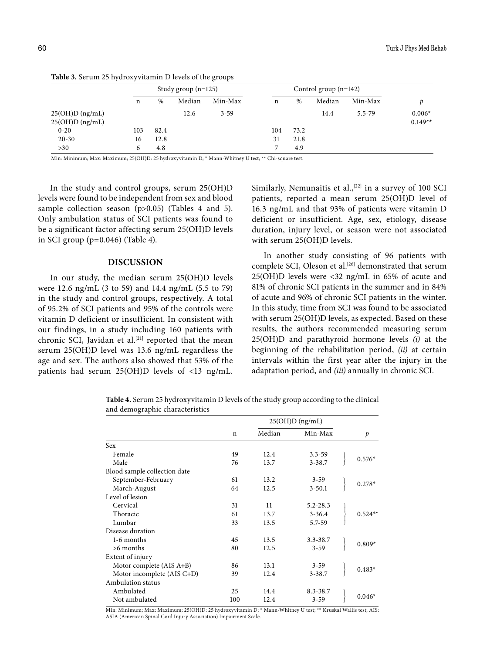|                                        |     |      | Study group $(n=125)$ |          |     |      | Control group $(n=142)$ |         |                       |  |
|----------------------------------------|-----|------|-----------------------|----------|-----|------|-------------------------|---------|-----------------------|--|
|                                        | n   | %    | Median                | Min-Max  | n   | %    | Median                  | Min-Max |                       |  |
| $25(OH)D$ (ng/mL)<br>$25(OH)D$ (ng/mL) |     |      | 12.6                  | $3 - 59$ |     |      | 14.4                    | 5.5-79  | $0.006*$<br>$0.149**$ |  |
| $0 - 20$                               | 103 | 82.4 |                       |          | 104 | 73.2 |                         |         |                       |  |
| $20 - 30$                              | 16  | 12.8 |                       |          | 31  | 21.8 |                         |         |                       |  |
| >30                                    | h   | 4.8  |                       |          | ⇁   | 4.9  |                         |         |                       |  |

**Table 3.** Serum 25 hydroxyvitamin D levels of the groups

Min: Minimum; Max: Maximum; 25(OH)D: 25 hydroxyvitamin D; \* Mann-Whitney U test; \*\* Chi-square test.

In the study and control groups, serum 25(OH)D levels were found to be independent from sex and blood sample collection season (p>0.05) (Tables 4 and 5). Only ambulation status of SCI patients was found to be a significant factor affecting serum 25(OH)D levels in SCI group (p=0.046) (Table 4).

## **DISCUSSION**

In our study, the median serum 25(OH)D levels were 12.6 ng/mL (3 to 59) and 14.4 ng/mL (5.5 to 79) in the study and control groups, respectively. A total of 95.2% of SCI patients and 95% of the controls were vitamin D deficient or insufficient. In consistent with our findings, in a study including 160 patients with chronic SCI, Javidan et al.<sup>[21]</sup> reported that the mean serum 25(OH)D level was 13.6 ng/mL regardless the age and sex. The authors also showed that 53% of the patients had serum 25(OH)D levels of <13 ng/mL.

Similarly, Nemunaitis et al., $[22]$  in a survey of 100 SCI patients, reported a mean serum 25(OH)D level of 16.3 ng/mL and that 93% of patients were vitamin D deficient or insufficient. Age, sex, etiology, disease duration, injury level, or season were not associated with serum 25(OH)D levels.

In another study consisting of 96 patients with complete SCI, Oleson et al.<sup>[26]</sup> demonstrated that serum 25(OH)D levels were <32 ng/mL in 65% of acute and 81% of chronic SCI patients in the summer and in 84% of acute and 96% of chronic SCI patients in the winter. In this study, time from SCI was found to be associated with serum 25(OH)D levels, as expected. Based on these results, the authors recommended measuring serum 25(OH)D and parathyroid hormone levels *(i)* at the beginning of the rehabilitation period, *(ii)* at certain intervals within the first year after the injury in the adaptation period, and *(iii)* annually in chronic SCI.

**Table 4.** Serum 25 hydroxyvitamin D levels of the study group according to the clinical and demographic characteristics

|                              |             | $25(OH)D$ (ng/mL) |              |  |               |
|------------------------------|-------------|-------------------|--------------|--|---------------|
|                              | $\mathbf n$ | Median            | Min-Max      |  | $\mathcal{P}$ |
| <b>Sex</b>                   |             |                   |              |  |               |
| Female                       | 49          | 12.4              | $3.3 - 59$   |  |               |
| Male                         | 76          | 13.7              | $3 - 38.7$   |  | $0.576*$      |
| Blood sample collection date |             |                   |              |  |               |
| September-February           | 61          | 13.2              | $3 - 59$     |  | $0.278*$      |
| March-August                 | 64          | 12.5              | $3 - 50.1$   |  |               |
| Level of lesion              |             |                   |              |  |               |
| Cervical                     | 31          | 11                | $5.2 - 28.3$ |  |               |
| Thoracic                     | 61          | 13.7              | $3 - 36.4$   |  | $0.524**$     |
| Lumbar                       | 33          | 13.5              | $5.7 - 59$   |  |               |
| Disease duration             |             |                   |              |  |               |
| 1-6 months                   | 45          | 13.5              | $3.3 - 38.7$ |  | $0.809*$      |
| $>6$ months                  | 80          | 12.5              | $3 - 59$     |  |               |
| Extent of injury             |             |                   |              |  |               |
| Motor complete (AIS A+B)     | 86          | 13.1              | $3 - 59$     |  | $0.483*$      |
| Motor incomplete (AIS C+D)   | 39          | 12.4              | $3 - 38.7$   |  |               |
| Ambulation status            |             |                   |              |  |               |
| Ambulated                    | 25          | 14.4              | 8.3-38.7     |  |               |
| Not ambulated                | 100         | 12.4              | $3 - 59$     |  | $0.046*$      |

Min: Minimum; Max: Maximum; 25(OH)D: 25 hydroxyvitamin D; \* Mann-Whitney U test; \*\* Kruskal Wallis test; AIS: ASIA (American Spinal Cord Injury Association) Impairment Scale.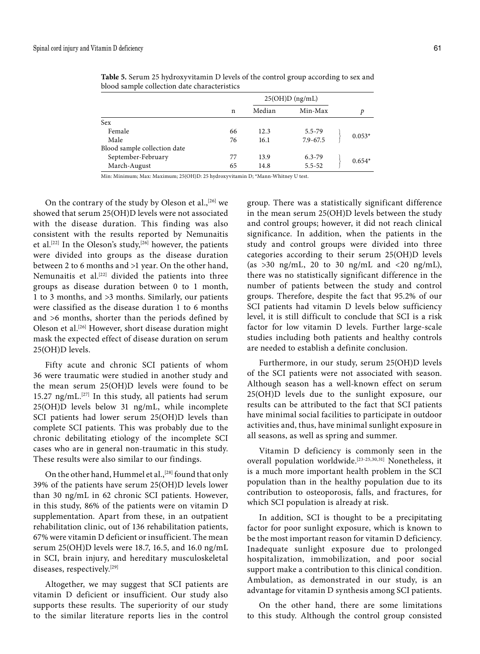|                              | $25(OH)D$ (ng/mL) |        |              |  |          |
|------------------------------|-------------------|--------|--------------|--|----------|
|                              | n                 | Median | Min-Max      |  | D        |
| <b>Sex</b>                   |                   |        |              |  |          |
| Female                       | 66                | 12.3   | 5.5-79       |  |          |
| Male                         | 76                | 16.1   | $7.9 - 67.5$ |  | $0.053*$ |
| Blood sample collection date |                   |        |              |  |          |
| September-February           | 77                | 13.9   | $6.3 - 79$   |  |          |
| March-August                 | 65                | 14.8   | $5.5 - 52$   |  | $0.654*$ |

**Table 5.** Serum 25 hydroxyvitamin D levels of the control group according to sex and blood sample collection date characteristics

Min: Minimum; Max: Maximum; 25(OH)D: 25 hydroxyvitamin D; \*Mann-Whitney U test.

On the contrary of the study by Oleson et al.,<sup>[26]</sup> we showed that serum 25(OH)D levels were not associated with the disease duration. This finding was also consistent with the results reported by Nemunaitis et al.<sup>[22]</sup> In the Oleson's study,<sup>[26]</sup> however, the patients were divided into groups as the disease duration between 2 to 6 months and >1 year. On the other hand, Nemunaitis et al.<sup>[22]</sup> divided the patients into three groups as disease duration between 0 to 1 month, 1 to 3 months, and >3 months. Similarly, our patients were classified as the disease duration 1 to 6 months and >6 months, shorter than the periods defined by Oleson et al.[26] However, short disease duration might mask the expected effect of disease duration on serum 25(OH)D levels.

Fifty acute and chronic SCI patients of whom 36 were traumatic were studied in another study and the mean serum 25(OH)D levels were found to be 15.27 ng/mL. $[27]$  In this study, all patients had serum 25(OH)D levels below 31 ng/mL, while incomplete SCI patients had lower serum 25(OH)D levels than complete SCI patients. This was probably due to the chronic debilitating etiology of the incomplete SCI cases who are in general non-traumatic in this study. These results were also similar to our findings.

On the other hand, Hummel et al.,<sup>[28]</sup> found that only 39% of the patients have serum 25(OH)D levels lower than 30 ng/mL in 62 chronic SCI patients. However, in this study, 86% of the patients were on vitamin D supplementation. Apart from these, in an outpatient rehabilitation clinic, out of 136 rehabilitation patients, 67% were vitamin D deficient or insufficient. The mean serum 25(OH)D levels were 18.7, 16.5, and 16.0 ng/mL in SCI, brain injury, and hereditary musculoskeletal diseases, respectively.[29]

Altogether, we may suggest that SCI patients are vitamin D deficient or insufficient. Our study also supports these results. The superiority of our study to the similar literature reports lies in the control group. There was a statistically significant difference in the mean serum 25(OH)D levels between the study and control groups; however, it did not reach clinical significance. In addition, when the patients in the study and control groups were divided into three categories according to their serum 25(OH)D levels (as  $>30$  ng/mL, 20 to 30 ng/mL and  $<20$  ng/mL), there was no statistically significant difference in the number of patients between the study and control groups. Therefore, despite the fact that 95.2% of our SCI patients had vitamin D levels below sufficiency level, it is still difficult to conclude that SCI is a risk factor for low vitamin D levels. Further large-scale studies including both patients and healthy controls are needed to establish a definite conclusion.

Furthermore, in our study, serum 25(OH)D levels of the SCI patients were not associated with season. Although season has a well-known effect on serum 25(OH)D levels due to the sunlight exposure, our results can be attributed to the fact that SCI patients have minimal social facilities to participate in outdoor activities and, thus, have minimal sunlight exposure in all seasons, as well as spring and summer.

Vitamin D deficiency is commonly seen in the overall population worldwide.[23-25,30,31] Nonetheless, it is a much more important health problem in the SCI population than in the healthy population due to its contribution to osteoporosis, falls, and fractures, for which SCI population is already at risk.

In addition, SCI is thought to be a precipitating factor for poor sunlight exposure, which is known to be the most important reason for vitamin D deficiency. Inadequate sunlight exposure due to prolonged hospitalization, immobilization, and poor social support make a contribution to this clinical condition. Ambulation, as demonstrated in our study, is an advantage for vitamin D synthesis among SCI patients.

On the other hand, there are some limitations to this study. Although the control group consisted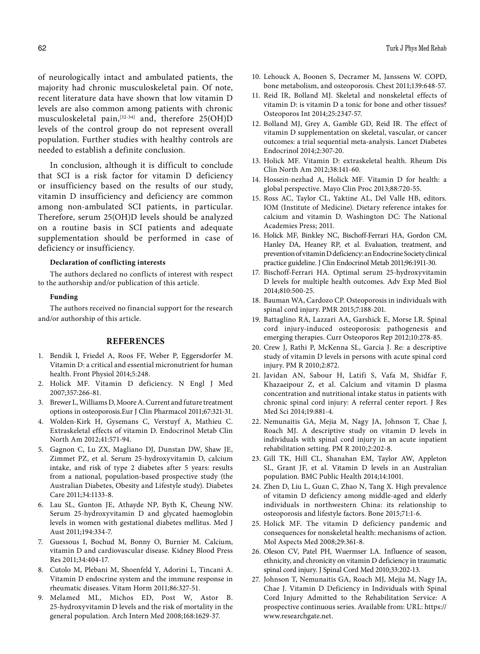of neurologically intact and ambulated patients, the majority had chronic musculoskeletal pain. Of note, recent literature data have shown that low vitamin D levels are also common among patients with chronic musculoskeletal pain,[32-34] and, therefore 25(OH)D levels of the control group do not represent overall population. Further studies with healthy controls are needed to establish a definite conclusion.

In conclusion, although it is difficult to conclude that SCI is a risk factor for vitamin D deficiency or insufficiency based on the results of our study, vitamin D insufficiency and deficiency are common among non-ambulated SCI patients, in particular. Therefore, serum 25(OH)D levels should be analyzed on a routine basis in SCI patients and adequate supplementation should be performed in case of deficiency or insufficiency.

### **Declaration of conflicting interests**

The authors declared no conflicts of interest with respect to the authorship and/or publication of this article.

#### **Funding**

The authors received no financial support for the research and/or authorship of this article.

#### **REFERENCES**

- 1. Bendik I, Friedel A, Roos FF, Weber P, Eggersdorfer M. Vitamin D: a critical and essential micronutrient for human health. Front Physiol 2014;5:248.
- 2. Holick MF. Vitamin D deficiency. N Engl J Med 2007;357:266-81.
- 3. Brewer L, Williams D, Moore A. Current and future treatment options in osteoporosis.Eur J Clin Pharmacol 2011;67:321-31.
- 4. Wolden-Kirk H, Gysemans C, Verstuyf A, Mathieu C. Extraskeletal effects of vitamin D. Endocrinol Metab Clin North Am 2012;41:571-94.
- 5. Gagnon C, Lu ZX, Magliano DJ, Dunstan DW, Shaw JE, Zimmet PZ, et al. Serum 25-hydroxyvitamin D, calcium intake, and risk of type 2 diabetes after 5 years: results from a national, population-based prospective study (the Australian Diabetes, Obesity and Lifestyle study). Diabetes Care 2011;34:1133-8.
- 6. Lau SL, Gunton JE, Athayde NP, Byth K, Cheung NW. Serum 25-hydroxyvitamin D and glycated haemoglobin levels in women with gestational diabetes mellitus. Med J Aust 2011;194:334-7.
- 7. Guessous I, Bochud M, Bonny O, Burnier M. Calcium, vitamin D and cardiovascular disease. Kidney Blood Press Res 2011;34:404-17.
- 8. Cutolo M, Plebani M, Shoenfeld Y, Adorini L, Tincani A. Vitamin D endocrine system and the immune response in rheumatic diseases. Vitam Horm 2011;86:327-51.
- 9. Melamed ML, Michos ED, Post W, Astor B. 25-hydroxyvitamin D levels and the risk of mortality in the general population. Arch Intern Med 2008;168:1629-37.
- 10. Lehouck A, Boonen S, Decramer M, Janssens W. COPD, bone metabolism, and osteoporosis. Chest 2011;139:648-57.
- 11. Reid IR, Bolland MJ. Skeletal and nonskeletal effects of vitamin D: is vitamin D a tonic for bone and other tissues? Osteoporos Int 2014;25:2347-57.
- 12. Bolland MJ, Grey A, Gamble GD, Reid IR. The effect of vitamin D supplementation on skeletal, vascular, or cancer outcomes: a trial sequential meta-analysis. Lancet Diabetes Endocrinol 2014;2:307-20.
- 13. Holick MF. Vitamin D: extraskeletal health. Rheum Dis Clin North Am 2012;38:141-60.
- 14. Hossein-nezhad A, Holick MF. Vitamin D for health: a global perspective. Mayo Clin Proc 2013;88:720-55.
- 15. Ross AC, Taylor CL, Yaktine AL, Del Valle HB, editors. IOM (Institute of Medicine). Dietary reference intakes for calcium and vitamin D. Washington DC: The National Academies Press; 2011.
- 16. Holick MF, Binkley NC, Bischoff-Ferrari HA, Gordon CM, Hanley DA, Heaney RP, et al. Evaluation, treatment, and prevention of vitamin D deficiency: an Endocrine Society clinical practice guideline. J Clin Endocrinol Metab 2011;96:1911-30.
- 17. Bischoff-Ferrari HA. Optimal serum 25-hydroxyvitamin D levels for multiple health outcomes. Adv Exp Med Biol 2014;810:500-25.
- 18. Bauman WA, Cardozo CP. Osteoporosis in individuals with spinal cord injury. PMR 2015;7:188-201.
- 19. Battaglino RA, Lazzari AA, Garshick E, Morse LR. Spinal cord injury-induced osteoporosis: pathogenesis and emerging therapies. Curr Osteoporos Rep 2012;10:278-85.
- 20. Crew J, Rathi P, McKenna SL, Garcia J. Re: a descriptive study of vitamin D levels in persons with acute spinal cord injury. PM R 2010;2:872.
- 21. Javidan AN, Sabour H, Latifi S, Vafa M, Shidfar F, Khazaeipour Z, et al. Calcium and vitamin D plasma concentration and nutritional intake status in patients with chronic spinal cord injury: A referral center report. J Res Med Sci 2014;19:881-4.
- 22. Nemunaitis GA, Mejia M, Nagy JA, Johnson T, Chae J, Roach MJ. A descriptive study on vitamin D levels in individuals with spinal cord injury in an acute inpatient rehabilitation setting. PM R 2010;2:202-8.
- 23. Gill TK, Hill CL, Shanahan EM, Taylor AW, Appleton SL, Grant JF, et al. Vitamin D levels in an Australian population. BMC Public Health 2014;14:1001.
- 24. Zhen D, Liu L, Guan C, Zhao N, Tang X. High prevalence of vitamin D deficiency among middle-aged and elderly individuals in northwestern China: its relationship to osteoporosis and lifestyle factors. Bone 2015;71:1-6.
- 25. Holick MF. The vitamin D deficiency pandemic and consequences for nonskeletal health: mechanisms of action. Mol Aspects Med 2008;29:361-8.
- 26. Oleson CV, Patel PH, Wuermser LA. Influence of season, ethnicity, and chronicity on vitamin D deficiency in traumatic spinal cord injury. J Spinal Cord Med 2010;33:202-13.
- 27. Johnson T, Nemunaitis GA, Roach MJ, Mejia M, Nagy JA, Chae J. Vitamin D Deficiency in Individuals with Spinal Cord Injury Admitted to the Rehabilitation Service: A prospective continuous series. Available from: URL: https:// www.researchgate.net.